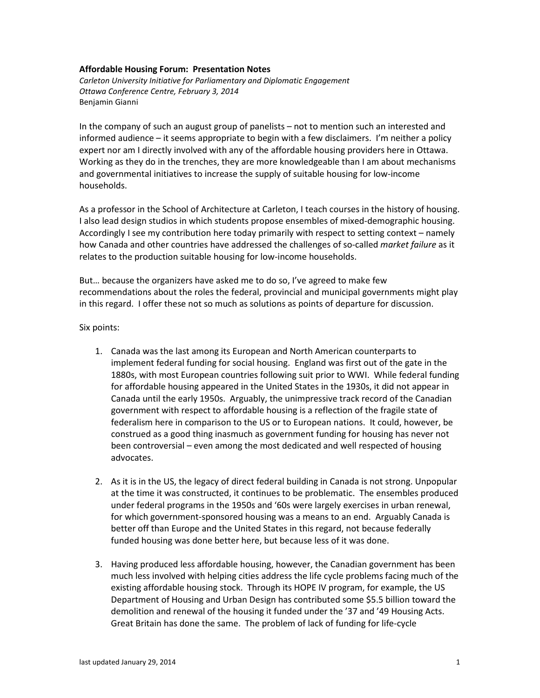## **Affordable Housing Forum: Presentation Notes**

*Carleton University Initiative for Parliamentary and Diplomatic Engagement Ottawa Conference Centre, February 3, 2014* Benjamin Gianni

In the company of such an august group of panelists – not to mention such an interested and informed audience – it seems appropriate to begin with a few disclaimers. I'm neither a policy expert nor am I directly involved with any of the affordable housing providers here in Ottawa. Working as they do in the trenches, they are more knowledgeable than I am about mechanisms and governmental initiatives to increase the supply of suitable housing for low-income households.

As a professor in the School of Architecture at Carleton, I teach courses in the history of housing. I also lead design studios in which students propose ensembles of mixed-demographic housing. Accordingly I see my contribution here today primarily with respect to setting context – namely how Canada and other countries have addressed the challenges of so-called *market failure* as it relates to the production suitable housing for low-income households.

But… because the organizers have asked me to do so, I've agreed to make few recommendations about the roles the federal, provincial and municipal governments might play in this regard. I offer these not so much as solutions as points of departure for discussion.

## Six points:

- 1. Canada was the last among its European and North American counterparts to implement federal funding for social housing. England was first out of the gate in the 1880s, with most European countries following suit prior to WWI. While federal funding for affordable housing appeared in the United States in the 1930s, it did not appear in Canada until the early 1950s. Arguably, the unimpressive track record of the Canadian government with respect to affordable housing is a reflection of the fragile state of federalism here in comparison to the US or to European nations. It could, however, be construed as a good thing inasmuch as government funding for housing has never not been controversial – even among the most dedicated and well respected of housing advocates.
- 2. As it is in the US, the legacy of direct federal building in Canada is not strong. Unpopular at the time it was constructed, it continues to be problematic. The ensembles produced under federal programs in the 1950s and '60s were largely exercises in urban renewal, for which government-sponsored housing was a means to an end. Arguably Canada is better off than Europe and the United States in this regard, not because federally funded housing was done better here, but because less of it was done.
- 3. Having produced less affordable housing, however, the Canadian government has been much less involved with helping cities address the life cycle problems facing much of the existing affordable housing stock. Through its HOPE IV program, for example, the US Department of Housing and Urban Design has contributed some \$5.5 billion toward the demolition and renewal of the housing it funded under the '37 and '49 Housing Acts. Great Britain has done the same. The problem of lack of funding for life-cycle